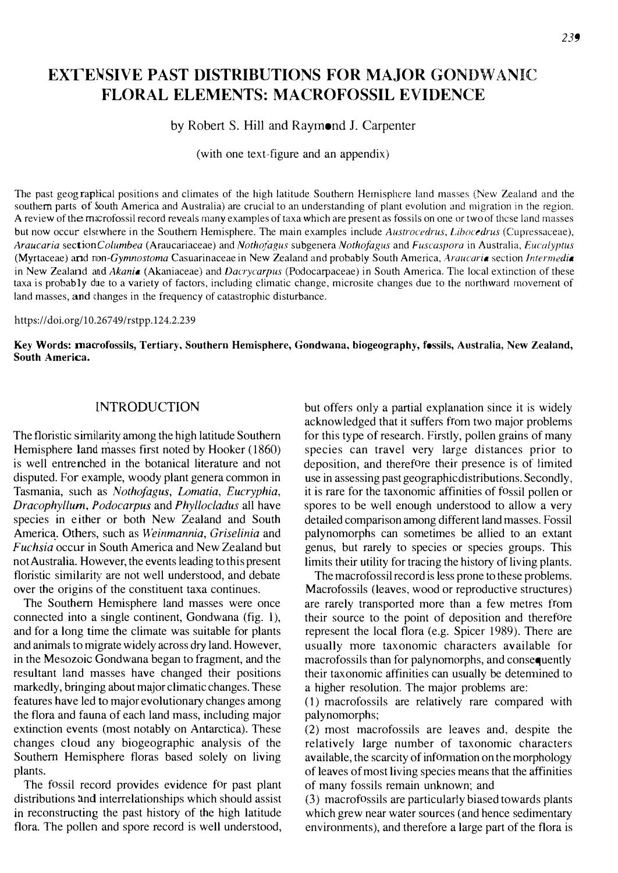# **EXTENSIVE PAST DISTRIBUTIONS FOR MAJOR GONDWANIC FLORAL ELEMENTS: MACROFOSSIL EVIDENCE**

by Robert S. Hill and Raymond J. Carpenter

(with one text-figure and an appendix)

The past geographical positions and climates of the high latitude Southern Hemisphere land masses (New Zealand and the southern parts of South America and Australia) are crucial to an understanding of plant evolution and migration in the region. A review of the macrofossil record reveals many examples of taxa which are present as fossils on one or two of these land masses but now occur elsewhere in the Southern Hemisphere. The main examples include *Austrocedrus, Libocedrus* (Cupressaceae), *Araucaria sectionCo/umbea* (Araucariaceae) and *Nothofagus* subgenera *Nothofagus* and *Fuscaspora* in Australia, *Eurnlyptus*  (Myrtaceae) and *rnn-Gymnostoma* Casuarinaceae in New Zealand and probably South America, *Araucaria* section *lntermedia*  in New Zealand and *Akania* (Akaniaceae) and *Dacrycarpus* (Podocarpaceae) in South America. The local extinction of these taxa is probably due to a variety of factors, including climatic change, microsite changes due to the northward movement of land masses, **and** changes in the frequency of catastrophic disturbance.

https://doi.org/10.26749/rstpp.124.2.239

**Key Words: macrofossils, Tertiary, Southern Hemisphere, Gondwana, biogeography, fossils, Australia, New Zealand, South America.** 

# **INTRODUCTION**

The floristic similarity among the high latitude Southern Hemisphere land masses first noted by Hooker (1860) is well entrenched in the botanical literature and not disputed. For example, woody plant genera common in Tasmania, such as *Nothofagus, Lomatia, Eucryphia, Dracophyllum, Podocarpus* and *Phyllocladus* all have species in either or both New Zealand and South Americ3:. Others, such as *Weinmannia, Griselinia* and *Fuchsia* occur in South America and New Zealand but not Australia. However, the events leading to this present floristic similarity are not well understood, and debate over the origins of the constituent taxa continues.

The Southern Hemisphere land masses were once connected into a single continent, Gondwana (fig. 1), and for a long time the climate was suitable for plants and animals to migrate widely across dry land. However, in the Mesozoic Gondwana began to fragment, and the resultant land masses have changed their positions markedly, bringing about major climatic changes. These features have led to major evolutionary changes among the flora and fauna of each land mass, including major extinction events (most notably on Antarctica). These changes cloud any biogeographic analysis of the Southern Hemisphere floras based solely on living plants.

The fossil record provides evidence for past plant distributions and interrelationships which should assist in reconstructing the past history of the high latitude flora. The pollen and spore record is well understood, but offers only a partial explanation since it is widely acknowledged that it suffers from two major problems for this type of research. Firstly, pollen grains of many species can travel very large distances prior to deposition, and therefore their presence is of limited use in assessing past geographic distributions. Secondly, it is rare for the taxonomic affinities of fossil pollen or spores to be well enough understood to allow a very detailed comparison among different land masses. Fossil palynomorphs can sometimes be allied to an extant genus, but rarely to species or species groups. This limits their utility for tracing the history of living plants.

The macrofossil record is less prone to these problems. Macrofossils (leaves, wood or reproductive structures) are rarely transported more than a few metres from their source to the point of deposition and therefore represent the local flora (e.g. Spicer 1989). There are usually more taxonomic characters available for macrofossils than for palynomorphs, and consequently their taxonomic affinities can usually be detennined to a higher resolution. The major problems are:

(1) macrofossils are relatively rare compared with palynomorphs;

(2) most macrofossils are leaves and, despite the relatively large number of taxonomic characters available, the scarcity of infonnation on the morphology of leaves of most living species means that the affinities of many fossils remain unknown; and

(3) macrofossils are particularly biased towards plants which grew near water sources (and hence sedimentary environments), and therefore a large part of the flora is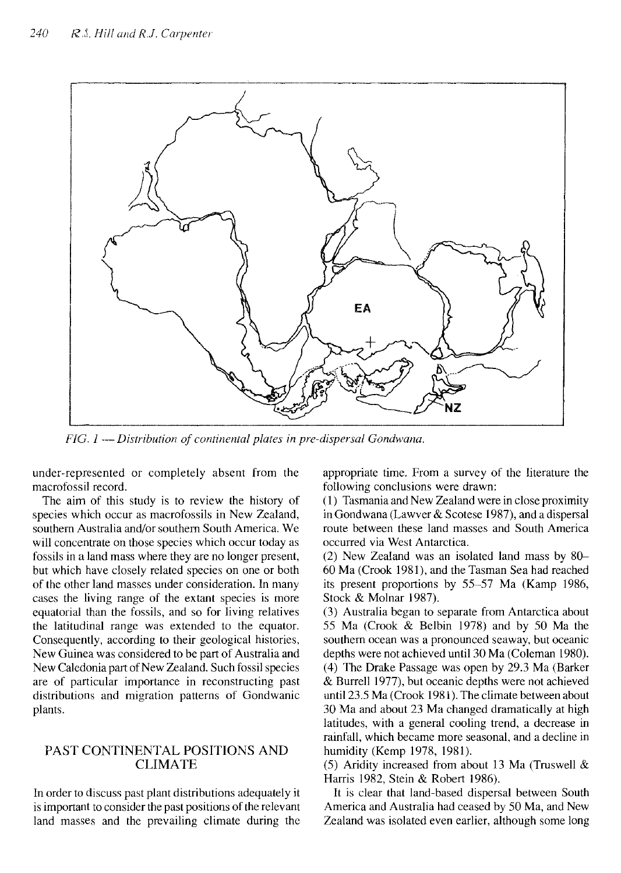

*FIG. 1 — Distribution of continental plates in pre-dispersal Gondwana.* 

under-represented or completely absent from the macrofossil record.

The aim of this study is to review the history of species which occur as macrofossils in New Zealand, southern Australia and/or southern South America. We will concentrate on those species which occur today as fossils in a land mass where they are no longer present, but which have closely related species on one or both of the other land masses under consideration. In many cases the living range of the extant species is more equatorial than the fossils, and so for living relatives the latitudinal range was extended to the equator. Consequently, according to their geological histories, New Guinea was considered to be part of Australia and New Caledonia part of New Zealand. Such fossil species are of particular importance in reconstructing past distributions and migration patterns of Gondwanic plants.

## PAST CONTINENTAL POSITIONS AND CLIMATE

In order to discuss past plant distributions adequately it is important to consider the past positions of the relevant land masses and the prevailing climate during the

appropriate time. From a survey of the literature the following conclusions were drawn:

(1) Tasmania and New Zealand were in close proximity in Gondwana (Lawver & Scotese 1987), and a dispersal route between these land masses and South America occurred via West Antarctica.

(2) New Zealand was an isolated land mass by 80-- 60 Ma (Crook 1981), and the Tasman Sea had reached its present proportions by 55-57 Ma (Kamp 1986, Stock & Molnar 1987).

(3) Australia began to separate from Antarctica about 55 Ma (Crook & Belbin 1978) and by 50 Ma the southern ocean was a pronounced seaway, but oceanic depths were not achieved until 30 Ma (Coleman 1980). (4) The Drake Passage was open by 29.3 Ma (Barker & Burrell 1977), but oceanic depths were not achieved until 23.5 Ma (Crook 1981). The climate between about 30 Ma and about 23 Ma changed dramatically at high latitudes, with a general cooling trend, a decrease in rainfall, which became more seasonal, and a decline in humidity (Kemp 1978, 1981).

(5) Aridity increased from about 13 Ma (Truswell  $\&$ Harris 1982, Stein & Robert 1986).

It is clear that land-based dispersal between South America and Australia had ceased by 50 Ma, and New Zealand was isolated even earlier, although some long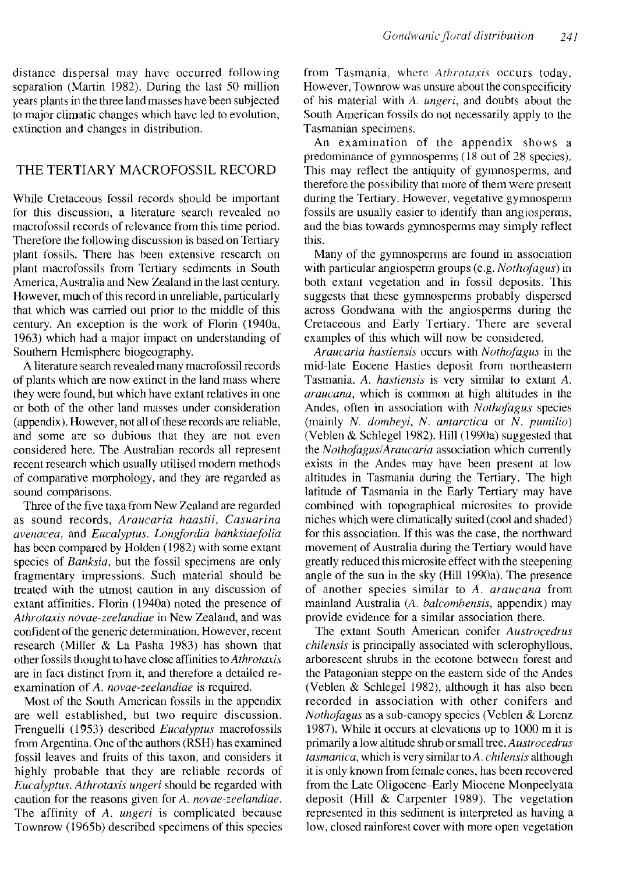distance dispersal may have occurred following separation (Martin 1982). During the last 50 million years plants in the three land masses have been subjected to major climatic changes which have led to evolution, extinction and changes in distribution.

#### THE TERTIARY MACROFOSSIL RECORD

While Cretaceous fossil records should be important for this discussion, a literature search revealed no macrofossil records of relevance from this time period. Therefore the following discussion is based on Tertiary plant fossils. There has been extensive research on plant macrofossils from Tertiary sediments in South America, Australia and New Zealand in the last century. However, much of this record in unreliable, particularly that which was carried out prior to the middle of this century. An exception is the work of Florin (l940a, 1963) which had a major impact on understanding of Southern Hemisphere biogeography.

A literature search revealed many macrofossil records of plants which are now extinct in the land mass where they were found, but which have extant relatives in one or both of the other land masses under consideration (appendix). However, not all of these records are reliable, and some are so dubious that they are not even considered here. The Australian records all represent recent research which usually utilised modem methods of comparative morphology, and they are regarded as sound comparisons.

Three of the five taxa from New Zealand are regarded as sound records, *Araucaria haastii, Casuarina avenacea,* and *Eucalyptus. Longfordia banksiaefolia*  has been compared by Holden (1982) with some extant species of *Banksia,* but the fossil specimens are only fragmentary impressions. Such material should be treated with the utmost caution in any discussion of extant affinities. Florin (1940a) noted the presence of *Athrotaxis novae-zeelandiae* in New Zealand, and was confident of the generic determination. However, recent research (Miller & La Pasha 1983) has shown that other fossils thought to have close affinities to *Athrotaxis*  are in fact distinct from it, and therefore a detailed reexamination of *A. novae-zeelandiae* is required.

Most of the South American fossils in the appendix are well established, but two require discussion. Frenguelli (1953) described *Eucalyptus* macrofossils from Argentina. One of the authors (RSH) has examined fossil leaves and fruits of this taxon, and considers it highly probable that they are reliable records of *Eucalyptus. Athrotaxis ungeri* should be regarded with caution for the reasons given for *A. novae-zeelandiae.*  The affinity of *A. ungeri* is complicated because Townrow (1965b) described specimens of this species from Tasmania, where *Athroraxis* occurs today. However, Towmow was unsure ahout the conspecificity of his material with A. *ungeri*, and doubts about the South American fossils do not necessarily apply to the Tasmanian specimens.

An examination of the appendix shows a predominance of gymnospenns (I8 out of 28 species). This may reflect the antiquity of gymnosperms, and therefore the possibility that more of them were present during the Tertiary. However, vegetative gymnosperm fossils are usually easier to identify than angiosperms, and the bias towards gymnospenns may simply reflect this.

Many of the gymnosperms are found in association with particular angiosperm groups (e.g. *Nothofagus)* in both extant vegetation and in fossil deposits. This suggests that these gymnosperms probably dispersed across Gondwana with the angiosperms during the Cretaceous and Early Tertiary. There are several examples of this which will now be considered.

*Araucaria hastiensis* occurs with *Nothofagus* in the mid-late Eocene Hasties deposit from northeastern Tasmania. *A. hastiensis* is very similar to extant *A. araucana,* which is common at high altitudes in the Andes, often in association with *Nothofagus* species (mainly *N. dombeyi, N. antarctica* or *N. pumilio)*  (Veblen & Schlegel 1982). Hill (1990a) suggested that the *NothofaguslAraucaria* association which currently exists in the Andes may have been present at low altitudes in Tasmania during the Tertiary. The high latitude of Tasmania in the Early Tertiary may have combined with topographical microsites to provide niches which were climatically suited (cool and shaded) for this association. If this was the case, the northward movement of Australia during the Tertiary would have greatly reduced this microsite effect with the steepening angle of the sun in the sky (Hill 1990a). The presence of another species similar to *A. araucana* from mainland Australia *(A. balcombensis,* appendix) may provide evidence for a similar association there.

The extant South American conifer *Austrocedrus chilensis* is principally associated with sclerophyllous, arborescent shrubs in the ecotone between forest and the Patagonian steppe on the eastern side of the Andes (Veblen & Schlegel 1982), although it has also been recorded in association with other conifers and *Nothofagus* as a sub-canopy species (Veblen & Lorenz 1987). While it occurs at elevations up to 1000 m it is primarily a low altitude shrub or small tree. *Austrocedrus tasmanica,* which is very similar to *A. chilensis* although it is only known from female cones, has been recovered from the Late Oligocene-Early Miocene Monpeelyata deposit (Hill & Carpenter 1989). The vegetation represented in this sediment is interpreted as having a low, closed rainforest cover with more open vegetation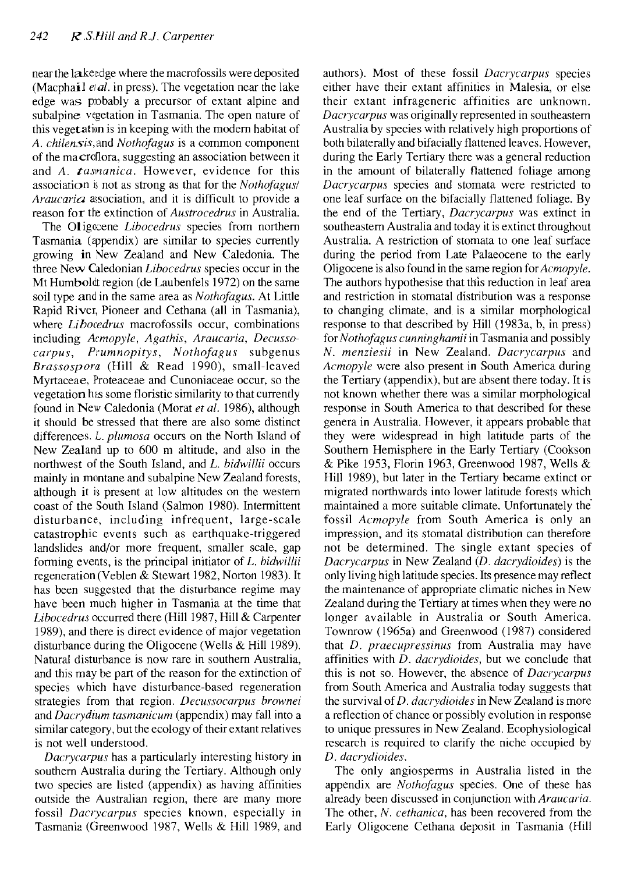near the Jakeedge where the macrofossils were deposited (Macphail *etal.* in press). The vegetation near the lake edge was probably a precursor of extant alpine and subalpine vegetation in Tasmania. The open nature of this vegetation is in keeping with the modem habitat of *A. chilensis,and Nothofagus* is a common component of the macroflora, suggesting an association between it and A. *tasmanica*. However, evidence for this association is not as strong as that for the *Nothofagus Araucaria* association, and it is difficult to provide a reason for the extinction of *Austrocedrus* in Australia.

The Oligocene *Libocedrus* species from northern Tasmania (appendix) are similar to species currently growing in New Zealand and New Caledonia. The three New Cilledonian *Libocedrus* species occur in the Mt Humboldt region (de Laubenfels 1972) on the same soil type and in the same area as *Nothofagus.* At Little Rapid River. Pioneer and Cethana (all in Tasmania), where *Libocedrus* macrofossils occur, combinations including *Armopy/e, Agathis, Araucaria, Decussocarpus, Prumnopitys, Nothofagus* subgenus *Brassospora* (Hill & Read 1990), small-leaved Myrtaceae, Proteaceae and Cunoniaceae occur, so the vegetation has some floristic similarity to that currently found in New Caledonia (Morat *et al.* 1986), although it should be stressed that there are also some distinct differences. L. *plumosa* occurs on the North Island of New Zealand up to 600 m altitude, and also in the northwest of the South Island, and L. *bidwillii* occurs mainly in montane and subalpine New Zealand forests, although it is present at low altitudes on the western coast of the South Island (Salmon 1980). Intermittent disturbance, including infrequent, large-scale catastrophic events such as earthquake-triggered landslides and/or more frequent, smaller scale, gap forming events, is the principal initiator of L. *bidwillii*  regeneration (Veblen & Stewart 1982, Norton 1983). It has been suggested that the disturbance regime may have been much higher in Tasmania at the time that *Libocedrus* occurred there (Hill 1987, Hill & Carpenter 1989), and there is direct evidence of major vegetation disturbance during the Oligocene (Wells & Hill 1989). Natural disturbance is now rare in southern Australia, and this may be part of the reason for the extinction of species which have disturbance-based regeneration strategies from that region. *Decussocarpus brownei*  and *Dacrydium tasmanicum* (appendix) may fall into a similar category, but the ecology of their extant relatives is not well understood.

*Dacrycarpus* has a particularly interesting history in southern Australia during the Tertiary. Although only two species are listed (appendix) as having affinities outside the Australian region, there are many more fossil *Dacrycarpus* species known, especially in Tasmania (Greenwood 1987, Wells & Hill 1989, and authors). Most of these fossil *Dacrycarpus* species either have their extant affmities in Malesia, or else their extant infrageneric affinities are unknown. *Dao)carpus* was originally represented in southeastern Australia by species with relatively high proportions of both bilaterally and bifacially flattened leaves. However, during the Early Tertiary there was a general reduction in the amount of bilaterally flattened foliage among *Dacrycarpus* species and stomata were restricted to one leaf surface on the bifacially flattened foliage. By the end of the Tertiary, *Dacrycarpus* was extinct in southeastern Australia and today it is extinct throughout Australia. A restriction of stomata to one leaf surface during the period from Late Palaeocene to the early Oligocene is also found in the same region for *Acmopyle.*  The authors hypothesise that this reduction in leaf area and restriction in stomatal distribution was a response to changing climate, and is a similar morphological response to that described by Hill (1983a, b, in press) for *Nothofagus cunninghamii* in Tasmania and possibly *N. menziesii* in New Zealand. *Dacrycarpus* and *Acmopyle* were also present in South America during the Tertiary (appendix), but are absent there today. It is not known whether there was a similar morphological response in South America to that described for these genera in Australia. However, it appears probable that they were widespread in high latitude parts of the Southern Hemisphere in the Early Tertiary (Cookson & Pike 1953, Florin 1963, Greenwood 1987, Wells & Hill 1989), but later in the Tertiary became extinct or migrated northwards into lower latitude forests which maintained a more suitable climate. Unfortunately thefossil *Acmopyle* from South America is only an impression, and its stomatal distribution can therefore not be determined. The single extant species of *Dacrycarpus* in New Zealand *(D. dacrydioides)* is the only living high latitude species. Its presence may reflect the maintenance of appropriate climatic niches in New Zealand during the Tertiary at times when they were no longer available in Australia or South America. Townrow (l965a) and Greenwood (1987) considered that *D. praecupressinus* from Australia may have affinities with *D. dacrydioides,* but we conclude that this is not so. However, the absence of *Dacrycarpus*  from South America and Australia today suggests that the survival of *D. dacrydioides* in New Zealand is more a reflection of chance or possibly evolution in response to unique pressures in New Zealand. Ecophysiological research is required to clarify the niche occupied by *D. dacrydioides.* 

The only angiosperms in Australia listed in the appendix are *Nothofagus* species. One of these has already been discussed in conjunction with *Araucaria.*  The other, *N. cethanica,* has been recovered from the Early Oligocene Cethana deposit in Tasmania (Hill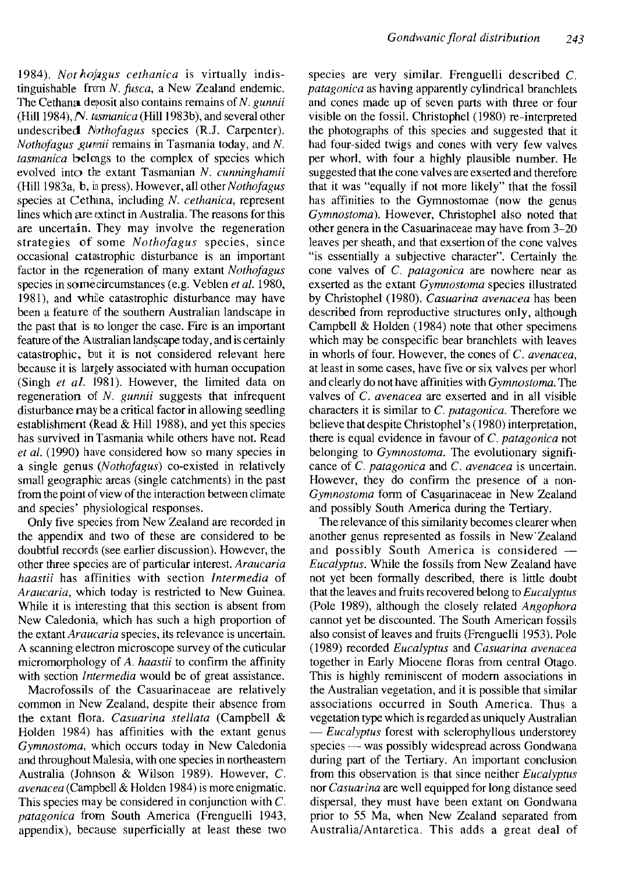1984). *Not holaeus cethanica* is virtually indistinguishable from N. *fusca,* a New Zealand endemic. The Cethana deposit also contains remains of N. *gunnii*  (Hill 1984), N. *tasmanica* (Hill 1983b), and several other undescribed *Nothofagus* species *(R.I.* Carpenter). *Nothofagus gunnii* remains in Tasmania today, and N. *tasmanica* belongs to the complex of species which evolved into the extant Tasmanian N. *cunninghamii*  (HiIl1983a, b, in press). However, all other *Nothofagus*  species at Cethma, including N. *cethanica,* represent lines which are extinct in Australia. The reasons for this are uncertain. They may involve the regeneration strategies of some *Nothofagus* species, since occasional catastrophic disturbance is an important factor in the regeneration of many extant *Nothofagus*  species in some circumstances (e.g. Veblen *et ai.* 1980, 1981), and while catastrophic disturbance may have been a feature of the southern Australian landscape in the past that is no longer the case. Fire is an important feature of the Australian landscape today, and is certainly catastrophic, but it is not considered relevant here because it is largely associated with human occupation (Singh *et al.* 1981). However, the limited data on regeneration of N. *gunnii* suggests that infrequent disturbance may be a critical factor in allowing seedling establishment (Read & Hill 1988), and yet this species has survived in Tasmania while others have not. Read *et al.* (1990) have considered how so many species in a single genus *(Nothofagus)* co-existed in relatively small geographic areas (single catchments) in the past from the point of view of the interaction between climate and species' physiological responses.

Only five species from New Zealand are recorded in the appendix and two of these are considered to be doubtful records (see earlier discussion). However, the otner three species are of particular interest. *Araucaria haastii* has affinities with section *lntermedia* of *Araucaria,* which today is restricted to New Guinea. While it is interesting that this section is absent from New Caledonia, which has such a high proportion of the extant *Araucaria* species, its relevance is uncertain. A scanning electron microscope survey of the cuticular micromorphology of *A. haastii* to confirm the affinity with section *Intermedia* would be of great assistance.

Macrofossils of the Casuarinaceae are relatively common in New Zealand, despite their absence from the extant flora. *Casuarina stellata* (Campbell & Holden 1984) has affinities with the extant genus *Gymnostoma,* which occurs today in New Caledonia and throughout Malesia, with one species in northeastern Australia (Johnson & Wilson 1989). However, C. *avenacea* (Campbell & Holden 1984) is more enigmatic. This species may be considered in conjunction with C. *patagonica* from South America (Frenguelli 1943, appendix), because superficially at least these two

species are very similar. Frenguelli described C. *patagonica* as having apparently cylindrical branchlets and cones made up of seven parts with three or four visible on the fossil. Christophel (1980) re-interpreted the photographs of this species and suggested that it had four-sided twigs and cones with very few valves per whorl, with four a highly plausible number. He suggested that the cone valves are exserted and therefore that it was "equally if not more likely" that the fossil has affinities to the Gymnostomae (now the genus *Gymnostoma).* However, Christophel also noted that other genera in the Casuarinaceae may have from 3-20 leaves per sheath, and that exsertion of the cone valves "is essentially a subjective character". Certainly the cone valves of C. *patagonica* are nowhere near as exserted as the extant *Gymnostoma* species illustrated by Christophel (1980). *Casuarina avenacea* has been described from reproductive structures only, although Campbell & Holden (1984) note that other specimens which may be conspecific bear branchlets with leaves in whorls of four. However, the cones of C. *avenacea,*  at least in some cases, have five or six valves per whorl and clearly do not have affinities with *Gymnostoma.* The valves of C. *avenacea* are exserted and in all visible characters it is similar to C. *patagonica.* Therefore we believe that despite Christophel's (1980) interpretation, there is equal evidence in favour of C. *patagonica* not belonging to *Gymnostoma.* The evolutionary significance of C. *patagonica* and C. *avenacea* is uncertain. However, they do confirm the presence of a non-*Gymnostoma* form of Casuarinaceae in New Zealand and possibly South America during the Tertiary.

The relevance of this similarity becomes clearer when another genus represented as fossils in New'Zealand and possibly South America is considered -*Eucalyptus.* While the fossils from New Zealand have not yet been formally described, there is little doubt that the leaves and fruits recovered belong to *Eucalyptus*  (Pole 1989), although the closely related *Angophora*  cannot yet be discounted. The South American fossils also consist of leaves and fruits (Frenguelli 1953). Pole (1989) recorded *Eucalyptus* and *Casuarina avenacea*  together in Early Miocene floras from central Otago. This is highly reminiscent of modem associations in the Australian vegetation, and it is possible that similar associations occurred in South America. Thus a vegetation type which is regarded as uniquely Australian *- Eucalyptus* forest with sclerophyllous understorey species - was possibly widespread across Gondwana during part of the Tertiary. An important conclusion from this observation is that since neither *Eucalyptus*  nor *Casuarina* are well equipped for long distance seed dispersal, they must have been extant on Gondwana prior to 55 Ma, when New Zealand separated from Australia/Antarctica. This adds a great deal of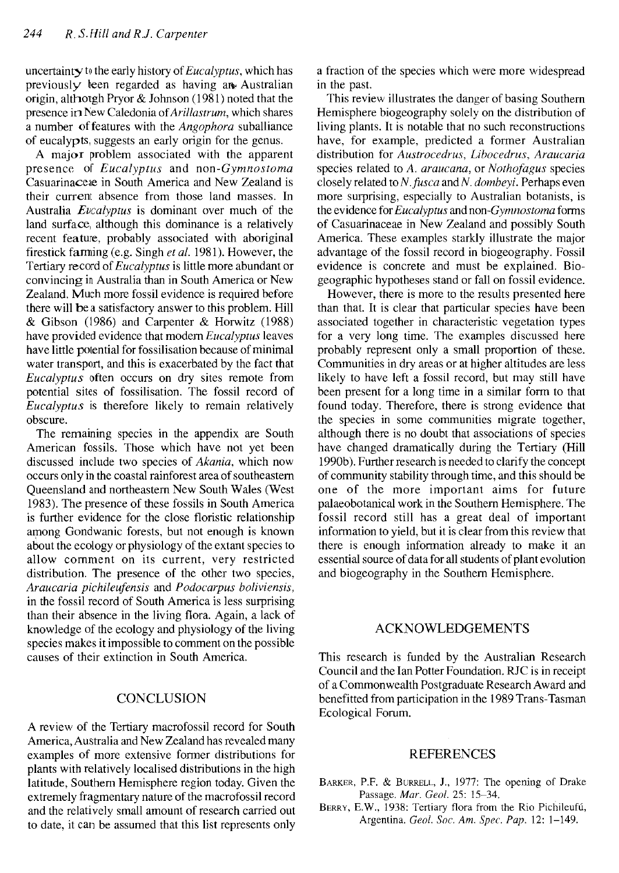uncertainty to the early history of *Eucalyptus*, which has previously been regarded as having an Australian origin, although Pryor  $&$  Johnson (1981) noted that the presence in New Caledonia of *Arillastrum*, which shares a number of features with the *Angophora* subaHiance of eucalypts, suggests an early origin for the genus.

A major problem associated with the apparent presence of *Eucalyptus* and *non-Gymnostoma*  .<br>Casuarinaceae in South America and New Zealand is their current absence from those land masses. In Australia *Eucalyptus* is dominant over much of the land surface, although this dominance is a relatively recent feature, probably associated with aboriginal fires tick faming (e.g. Singh *etal.* 1981). However, the Tertiary record of *Eucalyptus* is little more abundant or convincing in Australia than in South America or New Zealand. Much more fossil evidence is required before there will be a satisfactory answer to this problem. Hill & Gibson (1986) and Carpenter & Horwitz (1988) have provided evidence that modem *Eucalyptus* leaves have little potential for fossilisation because of minimal water transport, and this is exacerbated by the fact that *Eucalyptus* often occurs on dry sites remote from potential sites of fossilisation. The fossil record of *Eucalyptus* is therefore likely to remain relatively obscure.

The remaining species in the appendix are South American fossils. Those which have not yet been discussed include two species of *Akania,* which now occurs only in the coastal rainforest area of southeastern Queensland and northeastern New South Wales (West 1983). The presence of these fossils in South America is further evidence for the close floristic relationship among Gondwanic forests, but not enough is known about the ecology or physiology of the extant species to allow comment on its current, very restricted distribution. The presence of the other two species, *Araucaria pichileufensis* and *Podocarpus boliviensis,*  in the fossil record of South America is less surprising than their absence in the living flora. Again, a lack of knowledge of the ecology and physiology of the living species makes it impossible to comment on the possible causes of their extinction in South America.

## **CONCLUSION**

A review of the Tertiary macrofossil record for South America, Australia and New Zealand has revealed many examples of more extensive former distributions for plants with relatively localised distributions in the high latitude, Southern Hemisphere region today. Given the extremely fragmentary nature of the macrofossil record and the relatively small amount of research carried out to date, it can be assumed that this list represents only a fraction of the species which were more widespread in the past.

This review illustrates the danger of basing Southern Hemisphere biogeography solely on the distribution of living plants. It is notable that no such reconstructions have, for example, predicted a former Australian distribution for *Austrocedrus, Libocedrus, Araucaria*  species related to A. araucana, or Nothofagus species closely related to N. fusca and N. dombeyi. Perhaps even more surprising, especially to Australian botanists, is the evidence for *Eucalyptus* and non-*Gymnostoma* forms of Casuarinaceae in New Zealand and possibly South America. These examples starkly illustrate the major advantage of the fossil record in biogeography. Fossil evidence is concrete and must be explained. Biogeographic hypotheses stand or fall on fossil evidence.

However, there is more to the results presented here than that. It is clear that particular species have been associated together in characteristic vegetation types for a very long time. The examples discussed here probably represent only a small proportion of these. Communities in dry areas or at higher altitudes are less likely to have left a fossil record, but may still have been present for a long time in a similar form to that found today. Therefore, there is strong evidence that the species in some communities migrate together, although there is no doubt that associations of species have changed dramatically during the Tertiary (Hill 1990b). Further research is needed to clarify the concept of community stability through time, and this should be one of the more important aims for future palaeobotanical work in the Southern Hemisphere. The fossil record still has a great deal of important information to yield, but it is clear from this review that there is enough information already to make it an essential source of data for all students of plant evolution and biogeography in the Southern Hemisphere.

#### ACKNOWLEDGEMENTS

This research is funded by the Australian Research Council and the Ian Potter Foundation. RJC is in receipt of a Commonwealth Postgraduate Research Award and benefitted from participation in the 1989 Trans-Tasman Ecological Forum.

#### **REFERENCES**

- BARKER, P.F. & BURRELL, J., 1977: The opening of Drake Passage. *Mar. Ceo!.* 25: 15-34.
- BERRY, E.W., 1938: Tertiary flora from the Rio Pichileufú, Argentina. *Ceo!. Soc. Am. Spec. Pap.* 12: 1-149.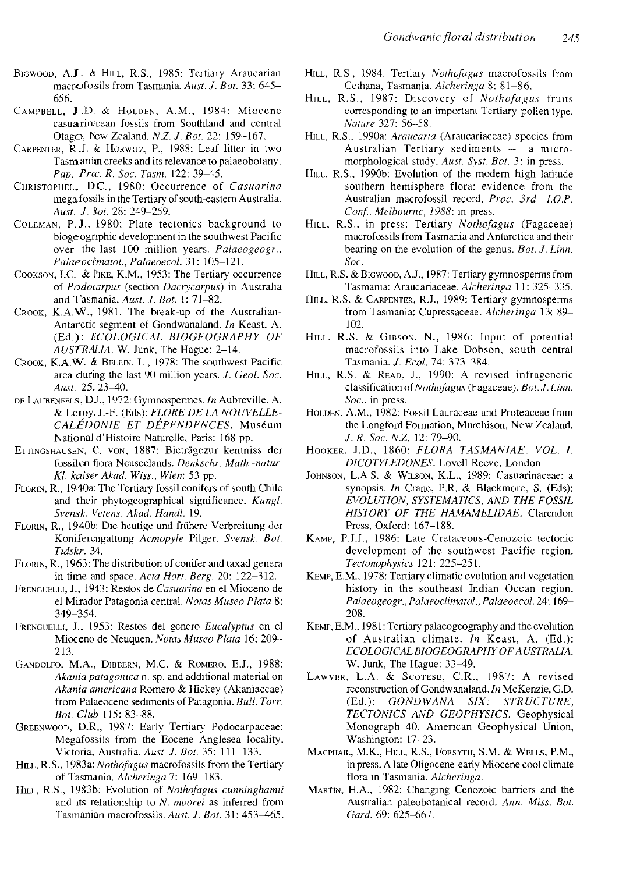- BIGWOOD, A.J. & HILL, R.S., 1985: Tertiary Araucarian macrofossils from Tasmania. *Aust. J. Bot.* 33: 645- 656.
- CAMPBELL, J.D. & HOLDEN, A.M., 1984: Miocene casuarinacean fossils from Southland and central Otago, New Zealand, *N.Z. J. Bot.* 22: 159-167.
- CARPENTER, R.J. &. HORWITZ, P., 1988: Leaf litter in two Tasmanim creeks and its relevance to palaeobotany. *Pap. Proc. R. Soc. Tasm.* 122: 39-45.
- CHRISTOPHEL, D.C., 1980: Occurrence of *Casuarina* megafossi Is in the Tertiary of south-eastern Australia. *Aust.* 1. *Bot.* 28: 249-259.
- COLEMAN, P.J., 1980: Plate tectonics background to biogeographic development in the southwest Pacific over the last 100 million years. *Paiaeogeogr., Palaeoclimatol., Palaeoecol.* 31: 105-121.
- COOKSON, I.C. & PIKE, K.M., 1953: The Tertiary occurrence of *Podocarpus* (section *Dacrycarpus*) in Australia and Tasmania. *Aust. J. Bot.* 1: 71-82.
- CROOK, K.AW., 1981: The break-up of the Australian-Antarctic segment of Gondwanaland. *In* Keast, A. (Ed.): *ECOLOGICAL BIOGEOGRAPHY OF AUSTRALIA.* W. Junk, The Hague: 2-14.
- CROOK, K.A.W. & BELBIN, L., 1978: The southwest Pacific area during the last 90 million years. *1. Geol. Soc. Aust.* 25: 23-40.
- DE LAUBENFELS, OJ., 1972: Gymnospermes. *In* Aubreville, A & Leroy, J.-F. (Eds): *FLORE DE LA NOUVELLE-CALEDONIE ET DEPENDENCES.* Museum National d'Hisloire Naturelle, Paris: 168 pp.
- ETTINGSHAUSEN, C. von, 1887: Bieträgezur kentniss der fossilen flora Neuseelands. *Denkschr. Math.-natur. KI. kaiser Akad. Wiss., Wien:* 53 pp.
- FLORIN, R., 1940a: The Tertiary fossil conifers of south Chile and their phytogeographical significance. *Kungl. Svensk. Vetens.-Akad. Handl. 19.*
- FLORIN, R., 1940b: Die heutige und frühere Verbreitung der Koniferengattung *Acmopyle* Pilger. *Svensk. Bot. Tidskr.34.*
- FLORIN, R., 1963: The distribution of conifer and taxad genera in time and space. *Acta Hart. Berg.* 20: 122-312.
- FRENGUELLI, J., 1943: Restos de *Casuarina* en el Mioceno de el Mirador Patagonia central. *N alas M useo Plata* 8: 349-354.
- FRENGUELLI, J., 1953: Restos del genero *Eucalyptus* en el Mioceno de Neuquen. *Notas Museo Plata* 16: 209-· 213.
- GANDOLFO, M.A., DIBBERN, M.C. & ROMERO, E.J., 1988: *Akania patagonica* n. sp. and additional material on *Akania americana* Romero & Hickey (Akaniaceae) from Palaeocene sediments of Patagonia. *Bull. Torr. Bot. Club* 115: 83-88.
- GREENWOOD, D.R., 1987: Early Tertiary Podocarpaceae: Megafossils from the Eocene Anglesea locality, Victoria, Australia. *Aust. J. Bot* 35: 111-133.
- HILL, R.S., 1983a: *Nothofagus* macrofossils from the Tertiary of Tasmania. *Alcheringa* 7: 169-183.
- HILL, R.S., 1983b: Evolution of *Nothofagus cunninghamii*  and its relationship to *N. moorei* as inferred from Tasmanian macrofossils. *Aust.* f. *Bot.* 31: 453-465.
- HILL, RS., J984: Tertiary *Nothofagus* macrofossils from Cethana, Tasmania. *Alcheringa* 8: 81-86.
- HILL, R.S., 1987: Discovery of *Nothofagus* fruits corresponding to an important Tertiary pollen type. *Nature* 327: 56-58.
- HILL, R.S., 1990a: *Araucaria* (Araucariaceae) species from Australian Tertiary sediments  $\overline{-}$  a micromorphological study. *Aust. Syst. Bot.* 3: in press.
- HILL, R.S., 1990b. Evolution of the modern high latitude southern hemisphere flora: evidence from the Australian macrofossil record. *Proc.* 3rd LOP. *Can!, Melbourne,* 1988: in press.
- HILL, R.S., in press: Tertiary *Nothofagus* (Fagaceae) macrofossils from Tasmania and Antarctica and their bearing on the evolution of the genus. *Bot. J. Linn. Soc.*
- HILL, R.S. & BIGWOOD, A.J., 1987: Tertiary gymnosperms from Tasmania: Araucariaceae. *Alcheringa* 11: 325-335.
- HILL, R.S. & CARPENTER, RJ., 1989: Tertiary gymnosperms from Tasmania: Cupressaceae. *Alcheringa* 13: 89-102.
- HILL, R.S. & GIBSON, N., 1986: Input of potential macrofossils into Lake Dobson, south central Tasmania. 1. *Ecol.* 74: 373-384.
- HILL, R.S. & READ, J., 1990: A revised infrageneric classification of *Nothofagus* (Fagaceae). *Bot.* 1. *Linn. Soc.,* in press.
- HOLDEN, AM., 1982: Fossil Lauraceae and Proteaceae from the Longford Formation, Murchison, New Zealand. ./. R. *Soc.* N.Z. 12: 79-90.
- HOOKER, J.D., 1860: *FLORA TASMANIAE. VOL.* I. *DICOTYLEDONES.* Lovell Reeve, London.
- JOHNSON, L.A.S. & WILSON, K.L., 1989: Casuarinaceae: a synopsis. *In* Crane, P.R. & Blackmore, S. (Eds): *EVOLUTION, SYSTEMATICS, AND THE FOSSIL HISTORY OF THE HAMAMELlDAE.* Clarendon Press, Oxford: 167-188.
- KAMP, P.J.J., 1986: Late Cretaceous-Cenozoic tectonic development of the southwest Pacific region. *Tectonophysics* 121: 225-251.
- KEMP, E.M., 1978: Tertiary climatic evolution and vegetation history in the southeast Indian Ocean region. *Palaeogeogr., Palaeociim£1tol., Palaeoecol.* 24: 169- 208.
- KEMP, E.M., 1981: Tertiary palaeogeography and the evolution of Australian climate. *In* Keast, A. (Ed.): *ECOLOGICAL BIOGEOGRAPHY OF AUSTRALIA.*  W. Junk, The Hague: 33-49.
- LAWVER, L.A. & SCOTESE, C.R., 1987: A revised reconstruction of Gondwanaland. *In* McKenzie, G.D. (Ed.): *GONDWANA SIX: STRUCTURE, TECTONICS AND GEOPHYSICS.* Geophysical Monograph 40. American Geophysical Union, Washington: 17-23.
- MACPHAIL, M.K., HILL, R.S., FORSYTH, S.M. & WELLS, P.M., in press. A late Oligocene-early Miocene cool climate flora in Tasmania. *Alcheringa.*
- MARTIN, H.A., 1982: Changing Cenozoic barriers and the Australian paleobotanical record. *Ann. Miss. Bot. Gard.* 69: 625-667.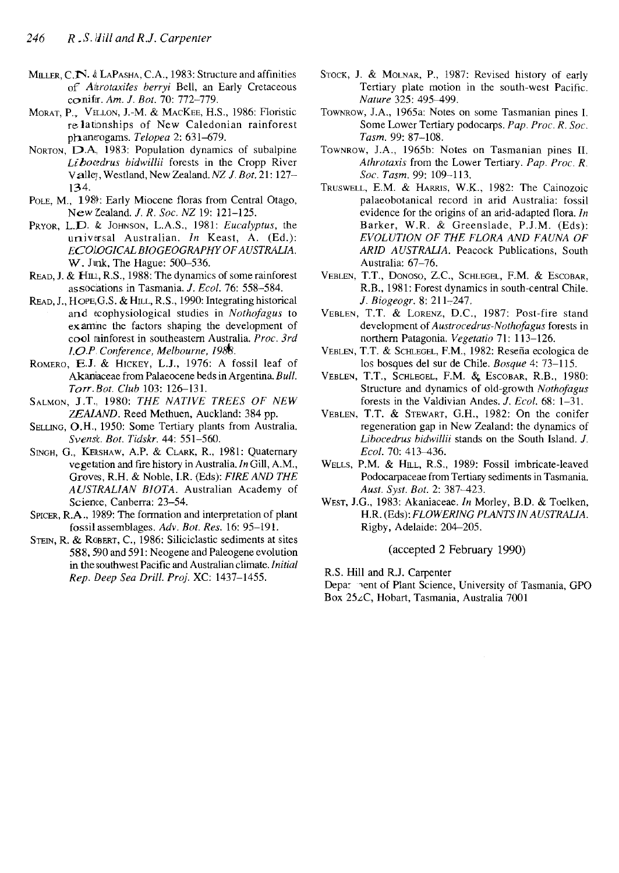- MILLER, C.N. & LAPASHA, C.A., 1983: Structure and affinities of Attrotaxites berryi Bell, an Early Cretaceous conifer. *Am.* 1. *Bot.* 70: 772-779.
- MORAT, P., VELLON, J.-M. & MAcKEE, H.S., 1986: floristic re lationships of New Caledonian rainforest pb.anerogams. *Telopea* 2: 631-679.
- NORTON, D.A. 1983: Population dynamics of subalpine *Li bocedrus bidwillii* forests in the Cropp River Valley, Westland, New Zealand. NZ 1. *Bot.* 21: 127-- 134.
- POLE, M., 1989: Early Miocene floras from Central Otago, New Zealand. 1. R. *Soc.* NZ 19: 121-125.
- PRYOR, L.D. & JOHNSON, L.A.S., 1981: *Eucalyptus*, the universal Australian. *In* Keast, A. (Ed.): *ECOLOGICAL BIOGEOGRAPHY OF AUSTRALIA.*  \V. Junk, The Hague: 500-536.
- READ, J. & HILL, R.S., 1988. The dynamics of some rainforest associations in Tasmania. *1. Eeol.* 76: 558-584.
- READ, J., HOPE, G.S. & HILL, R.S., 1990: Integrating historical and ecophysiological studies in *Nothofagus* to examine the factors shaping the development of cool rainforest in southeastern Australia. *Proc. 3rd I.O.P. Conference, Melbourne, 1988.*
- ROMERO, E.J. & HICKEY, L.J., 1976: A fossil leaf of Akaniaceae from Palaeocene beds in Argentina. *Bull. Torr. Bot. Club* 103: 12&-131.
- SALMON, J.T., 1980: *THE NATIVE TREES OF NEW*  ZEALAND. Reed Methuen, Auckland: 384 pp.
- SELLING, O.H., 1950: Some Tertiary plants from Australia. *Svensk. Bot. Tidskr.* 44: 551-560.
- SINGH, G., KERSHAW, A.P. & CLARK, R., 1981: Quaternary vegetation and fire history in Australia. *In* Gill, A.M., Groves, R.H. & Noble, I.R. (Eds): *F1RE AND THE AUSTRALIAN BIOTA.* Australian Academy of Science, Canberra: 23-54.
- SPICER, R.A., 1989: The formation and interpretation of plant fossil assemblages. *Adv. Bot. Res.* 16: 95-191.
- STEIN, R. & ROBERT, C., 1986: Siliciclastic sediments at sites 588, 590 and 591: Neogene and Paleogene evolution in the southwest Pacific and Australian climate. *Initial Rep. Deep Sea Drill. Pro}.* XC: 1437-1455.
- STOCK, J. & MOLNAR, P., 1987: Revised history of early Tertiary piate motion in the south-west Pacific. *Nature* 325: 495-499.
- ToWNRow, *I.A.,* 1965a: Notes on some Tasmanian pines 1. Some Lower Tertiary podocarps. *Pap. Proc. R. Soc. Tasm.* 99: 87-108.
- TOWNROW, J.A., 1965b: Notes on Tasmanian pines II. *Athrotaxis* from the Lower Tertiary. *Pap. Proc. R. Soc. Tasm.* 99: 109-113.
- TRUSWELL, E.M. & HARRIS, W.K., 1982: The Cainozoic palaeobotanical record in arid Australia: fossil evidence for the origins of an arid-adapted flora. *In*  Barker, W.R. & Greenslade, P.J.M. (Eds): *EVOLUTION OF THE FLORA AND FAUNA OF ARID AUSTRALIA.* Peacock Publications, South Australia: 67-76.
- VEBLEN, T.T., DONOSO, Z.C., SCHLEGEL, F.M. & ESCOBAR, RB., 1981: Forest dynamics in south-central Chile. J. Biogeogr. 8: 211-247.
- VEBLEN, T.T. & LORENZ, D.C., 1987: Post-fire stand development of *Austrocedrus-Nothofagus* forests in northern Patagonia. *Vegetatio* 71: 113-126.
- VEBLEN, T.T. & SCHLEGEL, F.M., 1982: Reseña ecologica de los bosques del sur de Chile. *Bosque* 4: 73-115.
- VEBLEN, T.T., SCHLEGEL, F.M. & ESCOBAR, R.B., 1980: Structure and dynamics of old-growth *Nothofagus*  forests in the Valdivian Andes. *1. Ecol.* 68: 1-31.
- VEBLEN, T.T. & STEWART, G.H., 1982: On the conifer regeneration gap in New Zealand: the dynamics of *Libocedrus bidwillii* stands on the South Island. *1. Eeal.* 70: 413-436.
- WELLS, P.M. & HILL, R.S., 1989: Fossil imbricate-leaved Podocarpaceae from Tertiary sediments in Tasmania. *Aust. Syst. Bot.* 2: 387-423.
- WEST, J.G., 1983: Akaniaceae. *In* Morley, B.D. & Toelken, H.R. (Eds): *FLOWERING PLANTS* IN *AUSTRALIA.*  Rigby, Adelaide: 204-205.

#### (accepted 2 February 1990)

R.S. Hill and R.1. Carpenter

Depar nent of Plant Science, University of Tasmania, GPO Box *25LC,* Hobart, Tasmania, Australia 7001